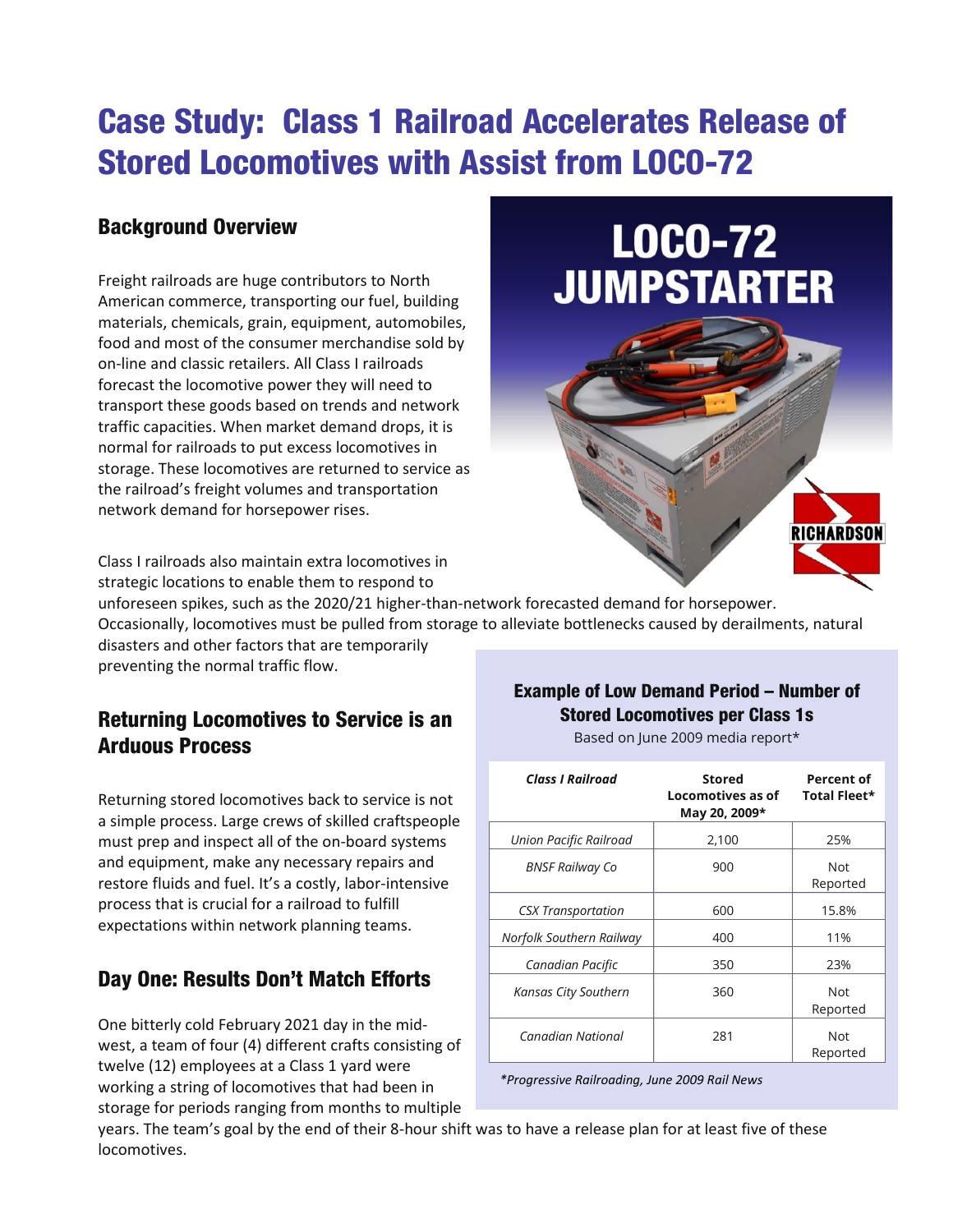# Case Study: Class 1 Railroad Accelerates Release of Stored Locomotives with Assist from LOCO-72

## Background Overview

Freight railroads are huge contributors to North American commerce, transporting our fuel, building materials, chemicals, grain, equipment, automobiles, food and most of the consumer merchandise sold by on-line and classic retailers. All Class I railroads forecast the locomotive power they will need to transport these goods based on trends and network traffic capacities. When market demand drops, it is normal for railroads to put excess locomotives in storage. These locomotives are returned to service as the railroad's freight volumes and transportation network demand for horsepower rises.



Class I railroads also maintain extra locomotives in strategic locations to enable them to respond to

unforeseen spikes, such as the 2020/21 higher-than-network forecasted demand for horsepower. Occasionally, locomotives must be pulled from storage to alleviate bottlenecks caused by derailments, natural

disasters and other factors that are temporarily preventing the normal traffic flow.

### Returning Locomotives to Service is an Arduous Process

Returning stored locomotives back to service is not a simple process. Large crews of skilled craftspeople must prep and inspect all of the on-board systems and equipment, make any necessary repairs and restore fluids and fuel. It's a costly, labor-intensive process that is crucial for a railroad to fulfill expectations within network planning teams.

## Day One: Results Don't Match Efforts

One bitterly cold February 2021 day in the midwest, a team of four (4) different crafts consisting of twelve (12) employees at a Class 1 yard were working a string of locomotives that had been in storage for periods ranging from months to multiple

#### Example of Low Demand Period – Number of Stored Locomotives per Class 1s

Based on June 2009 media report\*

| <b>Class I Railroad</b>   | <b>Stored</b><br>Locomotives as of<br>May 20, 2009* | Percent of<br>Total Fleet* |
|---------------------------|-----------------------------------------------------|----------------------------|
| Union Pacific Railroad    | 2,100                                               | 25%                        |
| <b>BNSF Railway Co</b>    | 900                                                 | <b>Not</b><br>Reported     |
| <b>CSX Transportation</b> | 600                                                 | 15.8%                      |
| Norfolk Southern Railway  | 400                                                 | 11%                        |
| Canadian Pacific          | 350                                                 | 23%                        |
| Kansas City Southern      | 360                                                 | <b>Not</b><br>Reported     |
| Canadian National         | 281                                                 | <b>Not</b><br>Reported     |

 *\*Progressive Railroading, June 2009 Rail News*

years. The team's goal by the end of their 8-hour shift was to have a release plan for at least five of these locomotives.